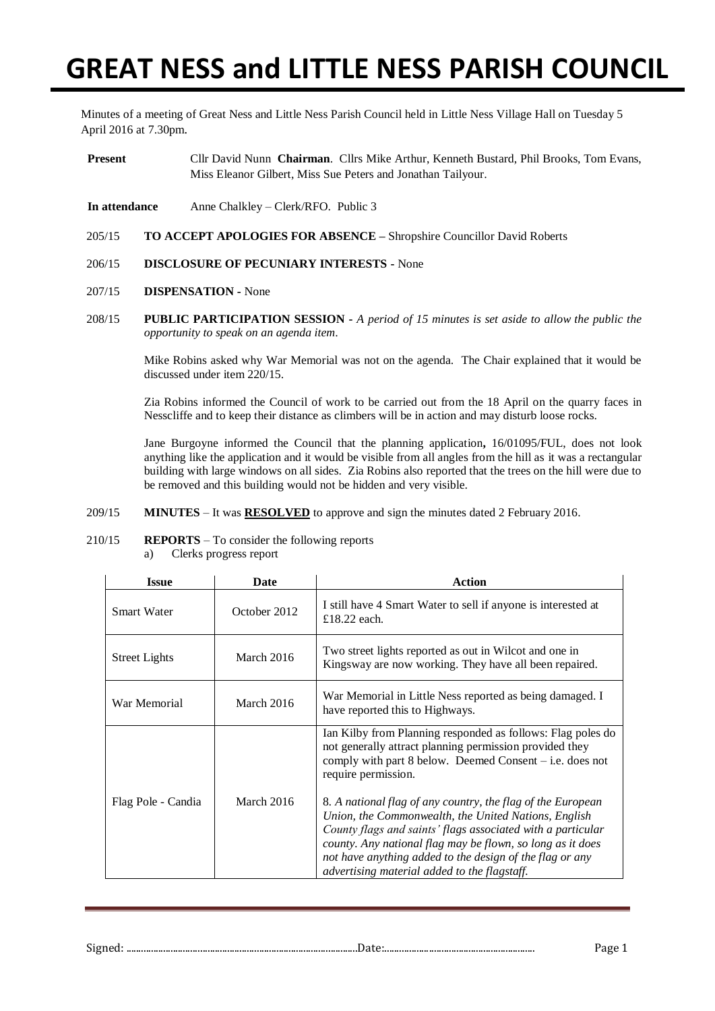# **GREAT NESS and LITTLE NESS PARISH COUNCIL**

Minutes of a meeting of Great Ness and Little Ness Parish Council held in Little Ness Village Hall on Tuesday 5 April 2016 at 7.30pm.

- **Present** Cllr David Nunn **Chairman**. Cllrs Mike Arthur, Kenneth Bustard, Phil Brooks, Tom Evans, Miss Eleanor Gilbert, Miss Sue Peters and Jonathan Tailyour.
- **In attendance** Anne Chalkley Clerk/RFO. Public 3
- 205/15 **TO ACCEPT APOLOGIES FOR ABSENCE –** Shropshire Councillor David Roberts
- 206/15 **DISCLOSURE OF PECUNIARY INTERESTS -** None
- 207/15 **DISPENSATION -** None
- 208/15 **PUBLIC PARTICIPATION SESSION -** *A period of 15 minutes is set aside to allow the public the opportunity to speak on an agenda item*.

Mike Robins asked why War Memorial was not on the agenda. The Chair explained that it would be discussed under item 220/15.

Zia Robins informed the Council of work to be carried out from the 18 April on the quarry faces in Nesscliffe and to keep their distance as climbers will be in action and may disturb loose rocks.

Jane Burgoyne informed the Council that the planning application**,** 16/01095/FUL, does not look anything like the application and it would be visible from all angles from the hill as it was a rectangular building with large windows on all sides. Zia Robins also reported that the trees on the hill were due to be removed and this building would not be hidden and very visible.

- 209/15 **MINUTES** It was **RESOLVED** to approve and sign the minutes dated 2 February 2016.
- 210/15 **REPORTS** To consider the following reports
	- a) Clerks progress report

| <b>Issue</b>         | Date         | <b>Action</b>                                                                                                                                                                                                                                                                                                                                                |  |  |
|----------------------|--------------|--------------------------------------------------------------------------------------------------------------------------------------------------------------------------------------------------------------------------------------------------------------------------------------------------------------------------------------------------------------|--|--|
| <b>Smart Water</b>   | October 2012 | I still have 4 Smart Water to sell if anyone is interested at<br>£18.22 each.                                                                                                                                                                                                                                                                                |  |  |
| <b>Street Lights</b> | March 2016   | Two street lights reported as out in Wilcot and one in<br>Kingsway are now working. They have all been repaired.                                                                                                                                                                                                                                             |  |  |
| War Memorial         | March 2016   | War Memorial in Little Ness reported as being damaged. I<br>have reported this to Highways.                                                                                                                                                                                                                                                                  |  |  |
|                      |              | Ian Kilby from Planning responded as follows: Flag poles do<br>not generally attract planning permission provided they<br>comply with part $8$ below. Deemed Consent – i.e. does not<br>require permission.                                                                                                                                                  |  |  |
| Flag Pole - Candia   | March 2016   | 8. A national flag of any country, the flag of the European<br>Union, the Commonwealth, the United Nations, English<br>County flags and saints' flags associated with a particular<br>county. Any national flag may be flown, so long as it does<br>not have anything added to the design of the flag or any<br>advertising material added to the flagstaff. |  |  |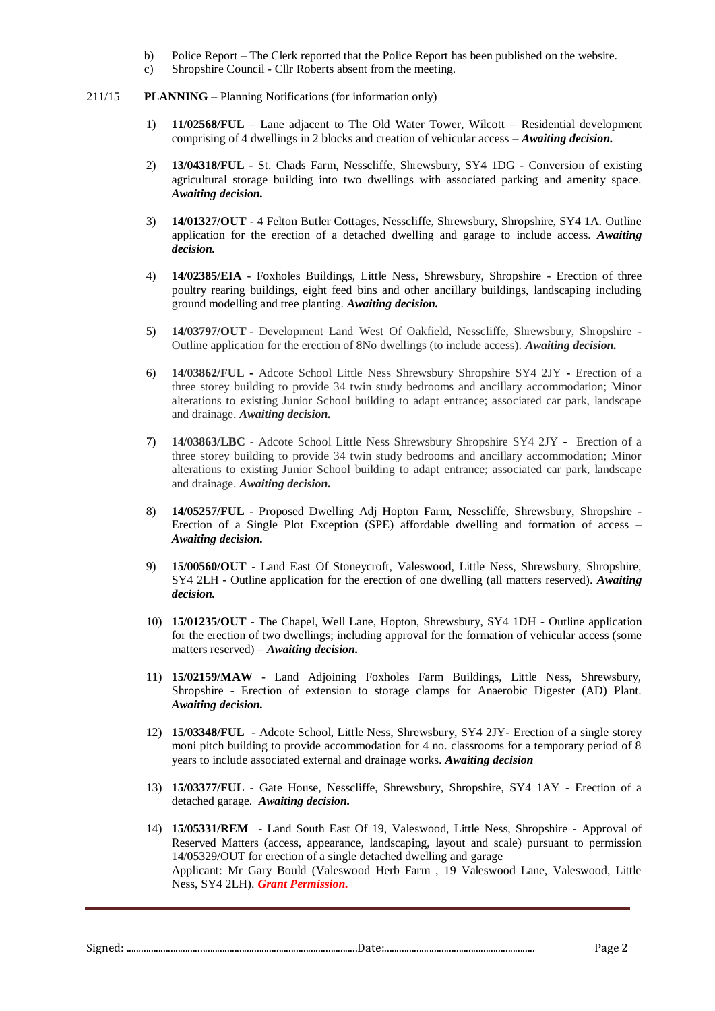- b) Police Report The Clerk reported that the Police Report has been published on the website.
- c) Shropshire Council Cllr Roberts absent from the meeting.
- 211/15 **PLANNING** Planning Notifications (for information only)
	- 1) **11/02568/FUL** Lane adjacent to The Old Water Tower, Wilcott Residential development comprising of 4 dwellings in 2 blocks and creation of vehicular access – *Awaiting decision.*
	- 2) **13/04318/FUL** St. Chads Farm, Nesscliffe, Shrewsbury, SY4 1DG Conversion of existing agricultural storage building into two dwellings with associated parking and amenity space. *Awaiting decision.*
	- 3) **14/01327/OUT** 4 Felton Butler Cottages, Nesscliffe, Shrewsbury, Shropshire, SY4 1A. Outline application for the erection of a detached dwelling and garage to include access. *Awaiting decision.*
	- 4) **14/02385/EIA** Foxholes Buildings, Little Ness, Shrewsbury, Shropshire Erection of three poultry rearing buildings, eight feed bins and other ancillary buildings, landscaping including ground modelling and tree planting. *Awaiting decision.*
	- 5) **14/03797/OUT** Development Land West Of Oakfield, Nesscliffe, Shrewsbury, Shropshire Outline application for the erection of 8No dwellings (to include access). *Awaiting decision.*
	- 6) **14/03862/FUL -** Adcote School Little Ness Shrewsbury Shropshire SY4 2JY **-** Erection of a three storey building to provide 34 twin study bedrooms and ancillary accommodation; Minor alterations to existing Junior School building to adapt entrance; associated car park, landscape and drainage. *Awaiting decision.*
	- 7) **14/03863/LBC** Adcote School Little Ness Shrewsbury Shropshire SY4 2JY **-** Erection of a three storey building to provide 34 twin study bedrooms and ancillary accommodation; Minor alterations to existing Junior School building to adapt entrance; associated car park, landscape and drainage. *Awaiting decision.*
	- 8) **14/05257/FUL** Proposed Dwelling Adj Hopton Farm, Nesscliffe, Shrewsbury, Shropshire Erection of a Single Plot Exception (SPE) affordable dwelling and formation of access – *Awaiting decision.*
	- 9) **15/00560/OUT** Land East Of Stoneycroft, Valeswood, Little Ness, Shrewsbury, Shropshire, SY4 2LH - Outline application for the erection of one dwelling (all matters reserved). *Awaiting decision.*
	- 10) **15/01235/OUT** The Chapel, Well Lane, Hopton, Shrewsbury, SY4 1DH Outline application for the erection of two dwellings; including approval for the formation of vehicular access (some matters reserved) – *Awaiting decision.*
	- 11) **15/02159/MAW** Land Adjoining Foxholes Farm Buildings, Little Ness, Shrewsbury, Shropshire - Erection of extension to storage clamps for Anaerobic Digester (AD) Plant. *Awaiting decision.*
	- 12) **15/03348/FUL**  Adcote School, Little Ness, Shrewsbury, SY4 2JY- Erection of a single storey moni pitch building to provide accommodation for 4 no. classrooms for a temporary period of 8 years to include associated external and drainage works. *Awaiting decision*
	- 13) **15/03377/FUL** Gate House, Nesscliffe, Shrewsbury, Shropshire, SY4 1AY Erection of a detached garage. *Awaiting decision.*
	- 14) **15/05331/REM** Land South East Of 19, Valeswood, Little Ness, Shropshire Approval of Reserved Matters (access, appearance, landscaping, layout and scale) pursuant to permission 14/05329/OUT for erection of a single detached dwelling and garage Applicant: Mr Gary Bould (Valeswood Herb Farm , 19 Valeswood Lane, Valeswood, Little Ness, SY4 2LH). *Grant Permission.*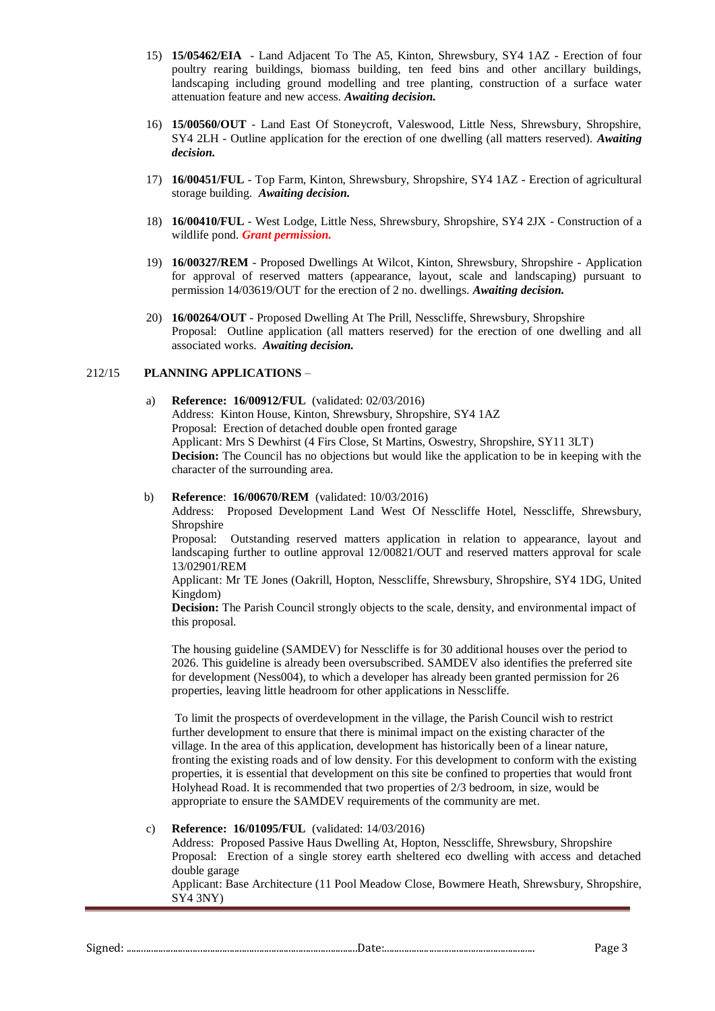- 15) **15/05462/EIA** Land Adjacent To The A5, Kinton, Shrewsbury, SY4 1AZ Erection of four poultry rearing buildings, biomass building, ten feed bins and other ancillary buildings, landscaping including ground modelling and tree planting, construction of a surface water attenuation feature and new access. *Awaiting decision.*
- 16) **15/00560/OUT** Land East Of Stoneycroft, Valeswood, Little Ness, Shrewsbury, Shropshire, SY4 2LH - Outline application for the erection of one dwelling (all matters reserved). *Awaiting decision.*
- 17) **16/00451/FUL** Top Farm, Kinton, Shrewsbury, Shropshire, SY4 1AZ Erection of agricultural storage building. *Awaiting decision.*
- 18) **16/00410/FUL** West Lodge, Little Ness, Shrewsbury, Shropshire, SY4 2JX Construction of a wildlife pond. *Grant permission.*
- 19) **16/00327/REM** Proposed Dwellings At Wilcot, Kinton, Shrewsbury, Shropshire Application for approval of reserved matters (appearance, layout, scale and landscaping) pursuant to permission 14/03619/OUT for the erection of 2 no. dwellings. *Awaiting decision.*
- 20) **16/00264/OUT** Proposed Dwelling At The Prill, Nesscliffe, Shrewsbury, Shropshire Proposal: Outline application (all matters reserved) for the erection of one dwelling and all associated works. *Awaiting decision.*

# 212/15 **PLANNING APPLICATIONS** *–*

a) **Reference: 16/00912/FUL** (validated: 02/03/2016) Address: Kinton House, Kinton, Shrewsbury, Shropshire, SY4 1AZ Proposal: Erection of detached double open fronted garage Applicant: Mrs S Dewhirst (4 Firs Close, St Martins, Oswestry, Shropshire, SY11 3LT) **Decision:** The Council has no objections but would like the application to be in keeping with the character of the surrounding area.

## b) **Reference**: **16/00670/REM** (validated: 10/03/2016)

Address: Proposed Development Land West Of Nesscliffe Hotel, Nesscliffe, Shrewsbury, Shropshire

Proposal: Outstanding reserved matters application in relation to appearance, layout and landscaping further to outline approval 12/00821/OUT and reserved matters approval for scale 13/02901/REM

Applicant: Mr TE Jones (Oakrill, Hopton, Nesscliffe, Shrewsbury, Shropshire, SY4 1DG, United Kingdom)

**Decision:** The Parish Council strongly objects to the scale, density, and environmental impact of this proposal.

The housing guideline (SAMDEV) for Nesscliffe is for 30 additional houses over the period to 2026. This guideline is already been oversubscribed. SAMDEV also identifies the preferred site for development (Ness004), to which a developer has already been granted permission for 26 properties, leaving little headroom for other applications in Nesscliffe.

To limit the prospects of overdevelopment in the village, the Parish Council wish to restrict further development to ensure that there is minimal impact on the existing character of the village. In the area of this application, development has historically been of a linear nature, fronting the existing roads and of low density. For this development to conform with the existing properties, it is essential that development on this site be confined to properties that would front Holyhead Road. It is recommended that two properties of 2/3 bedroom, in size, would be appropriate to ensure the SAMDEV requirements of the community are met.

## c) **Reference: 16/01095/FUL** (validated: 14/03/2016)

Address: Proposed Passive Haus Dwelling At, Hopton, Nesscliffe, Shrewsbury, Shropshire Proposal: Erection of a single storey earth sheltered eco dwelling with access and detached double garage

Applicant: Base Architecture (11 Pool Meadow Close, Bowmere Heath, Shrewsbury, Shropshire, SY4 3NY)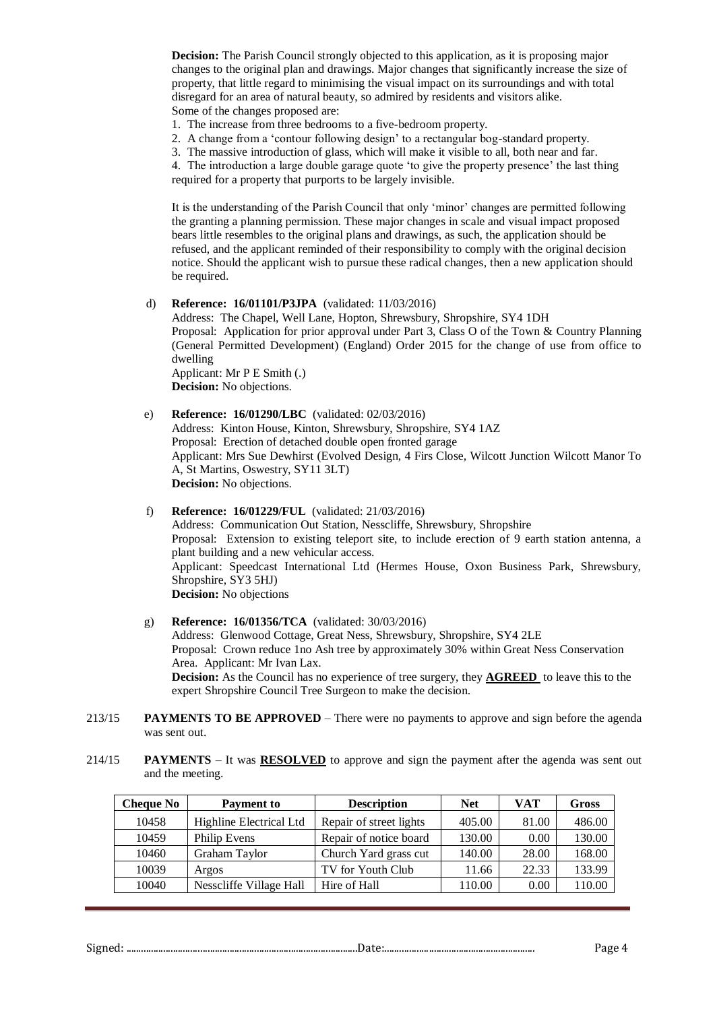**Decision:** The Parish Council strongly objected to this application, as it is proposing major changes to the original plan and drawings. Major changes that significantly increase the size of property, that little regard to minimising the visual impact on its surroundings and with total disregard for an area of natural beauty, so admired by residents and visitors alike. Some of the changes proposed are:

1. The increase from three bedrooms to a five-bedroom property.

- 2. A change from a 'contour following design' to a rectangular bog-standard property.
- 3. The massive introduction of glass, which will make it visible to all, both near and far.

4. The introduction a large double garage quote 'to give the property presence' the last thing required for a property that purports to be largely invisible.

It is the understanding of the Parish Council that only 'minor' changes are permitted following the granting a planning permission. These major changes in scale and visual impact proposed bears little resembles to the original plans and drawings, as such, the application should be refused, and the applicant reminded of their responsibility to comply with the original decision notice. Should the applicant wish to pursue these radical changes, then a new application should be required.

#### d) **Reference: 16/01101/P3JPA** (validated: 11/03/2016)

Address: The Chapel, Well Lane, Hopton, Shrewsbury, Shropshire, SY4 1DH Proposal: Application for prior approval under Part 3, Class O of the Town & Country Planning (General Permitted Development) (England) Order 2015 for the change of use from office to dwelling Applicant: Mr P E Smith (.)

**Decision:** No objections.

## e) **Reference: 16/01290/LBC** (validated: 02/03/2016)

Address: Kinton House, Kinton, Shrewsbury, Shropshire, SY4 1AZ Proposal: Erection of detached double open fronted garage Applicant: Mrs Sue Dewhirst (Evolved Design, 4 Firs Close, Wilcott Junction Wilcott Manor To A, St Martins, Oswestry, SY11 3LT) **Decision:** No objections.

## f) **Reference: 16/01229/FUL** (validated: 21/03/2016)

Address: Communication Out Station, Nesscliffe, Shrewsbury, Shropshire Proposal: Extension to existing teleport site, to include erection of 9 earth station antenna, a plant building and a new vehicular access. Applicant: Speedcast International Ltd (Hermes House, Oxon Business Park, Shrewsbury, Shropshire, SY3 5HJ) **Decision:** No objections

#### g) **Reference: 16/01356/TCA** (validated: 30/03/2016)

Address: Glenwood Cottage, Great Ness, Shrewsbury, Shropshire, SY4 2LE Proposal: Crown reduce 1no Ash tree by approximately 30% within Great Ness Conservation Area. Applicant: Mr Ivan Lax. **Decision:** As the Council has no experience of tree surgery, they **AGREED** to leave this to the expert Shropshire Council Tree Surgeon to make the decision.

- 213/15 **PAYMENTS TO BE APPROVED**  There were no payments to approve and sign before the agenda was sent out.
- 214/15 **PAYMENTS** It was **RESOLVED** to approve and sign the payment after the agenda was sent out and the meeting.

| <b>Cheque No</b> | <b>Payment to</b>       | <b>Description</b>      | <b>Net</b> | VAT   | Gross  |
|------------------|-------------------------|-------------------------|------------|-------|--------|
| 10458            | Highline Electrical Ltd | Repair of street lights | 405.00     | 81.00 | 486.00 |
| 10459            | Philip Evens            | Repair of notice board  | 130.00     | 0.00  | 130.00 |
| 10460            | Graham Taylor           | Church Yard grass cut   | 140.00     | 28.00 | 168.00 |
| 10039            | Argos                   | TV for Youth Club       | 11.66      | 22.33 | 133.99 |
| 10040            | Nesscliffe Village Hall | Hire of Hall            | 110.00     | 0.00  | 110.00 |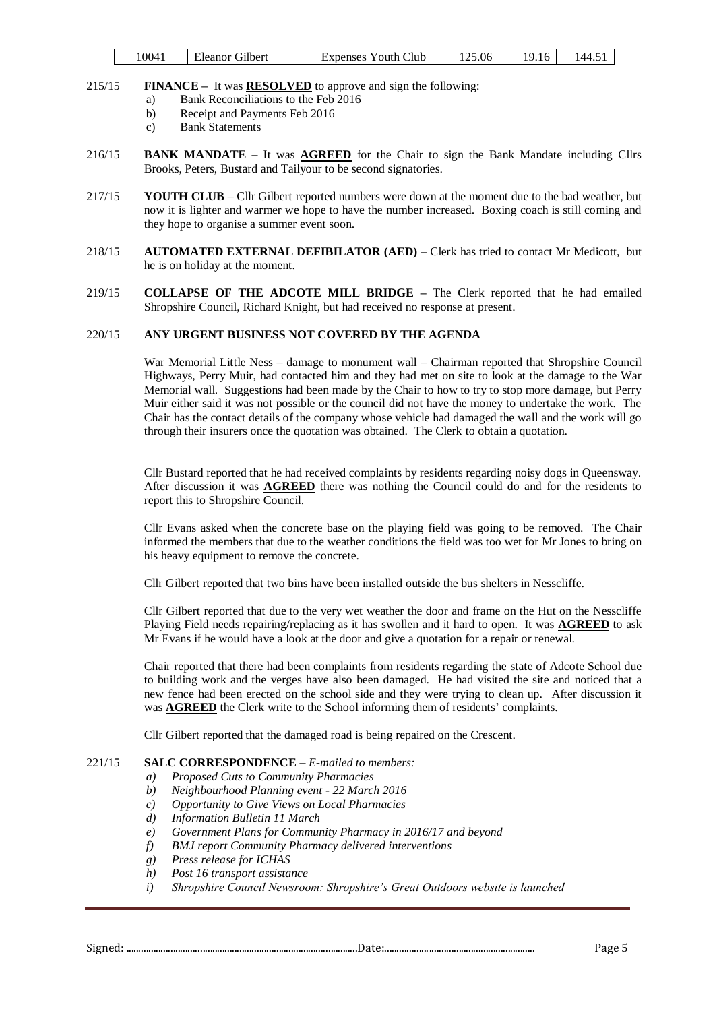| 1004.<br>Eleanor Gilbert |  | <b>Expenses Youth Club</b> | 125.06<br>9.16 | . 44<br>т. ј |
|--------------------------|--|----------------------------|----------------|--------------|
|--------------------------|--|----------------------------|----------------|--------------|

# 215/15 **FINANCE –** It was **RESOLVED** to approve and sign the following:

- a) Bank Reconciliations to the Feb 2016
- b) Receipt and Payments Feb 2016
- c) Bank Statements
- 216/15 **BANK MANDATE –** It was **AGREED** for the Chair to sign the Bank Mandate including Cllrs Brooks, Peters, Bustard and Tailyour to be second signatories.
- 217/15 **YOUTH CLUB** Cllr Gilbert reported numbers were down at the moment due to the bad weather, but now it is lighter and warmer we hope to have the number increased. Boxing coach is still coming and they hope to organise a summer event soon.
- 218/15 **AUTOMATED EXTERNAL DEFIBILATOR (AED) –** Clerk has tried to contact Mr Medicott, but he is on holiday at the moment.
- 219/15 **COLLAPSE OF THE ADCOTE MILL BRIDGE –** The Clerk reported that he had emailed Shropshire Council, Richard Knight, but had received no response at present.

# 220/15 **ANY URGENT BUSINESS NOT COVERED BY THE AGENDA**

War Memorial Little Ness – damage to monument wall – Chairman reported that Shropshire Council Highways, Perry Muir, had contacted him and they had met on site to look at the damage to the War Memorial wall. Suggestions had been made by the Chair to how to try to stop more damage, but Perry Muir either said it was not possible or the council did not have the money to undertake the work. The Chair has the contact details of the company whose vehicle had damaged the wall and the work will go through their insurers once the quotation was obtained. The Clerk to obtain a quotation.

Cllr Bustard reported that he had received complaints by residents regarding noisy dogs in Queensway. After discussion it was **AGREED** there was nothing the Council could do and for the residents to report this to Shropshire Council.

Cllr Evans asked when the concrete base on the playing field was going to be removed. The Chair informed the members that due to the weather conditions the field was too wet for Mr Jones to bring on his heavy equipment to remove the concrete.

Cllr Gilbert reported that two bins have been installed outside the bus shelters in Nesscliffe.

Cllr Gilbert reported that due to the very wet weather the door and frame on the Hut on the Nesscliffe Playing Field needs repairing/replacing as it has swollen and it hard to open. It was **AGREED** to ask Mr Evans if he would have a look at the door and give a quotation for a repair or renewal.

Chair reported that there had been complaints from residents regarding the state of Adcote School due to building work and the verges have also been damaged. He had visited the site and noticed that a new fence had been erected on the school side and they were trying to clean up. After discussion it was **AGREED** the Clerk write to the School informing them of residents' complaints.

Cllr Gilbert reported that the damaged road is being repaired on the Crescent.

# 221/15 **SALC CORRESPONDENCE –** *E-mailed to members:*

- *a) Proposed Cuts to Community Pharmacies*
- *b) Neighbourhood Planning event - 22 March 2016*
- *c) Opportunity to Give Views on Local Pharmacies*
- *d) Information Bulletin 11 March*
- *e) Government Plans for Community Pharmacy in 2016/17 and beyond*
- *f) BMJ report Community Pharmacy delivered interventions*
- *g) Press release for ICHAS*
- *h) Post 16 transport assistance*
- *i) Shropshire Council Newsroom: Shropshire's Great Outdoors website is launched*